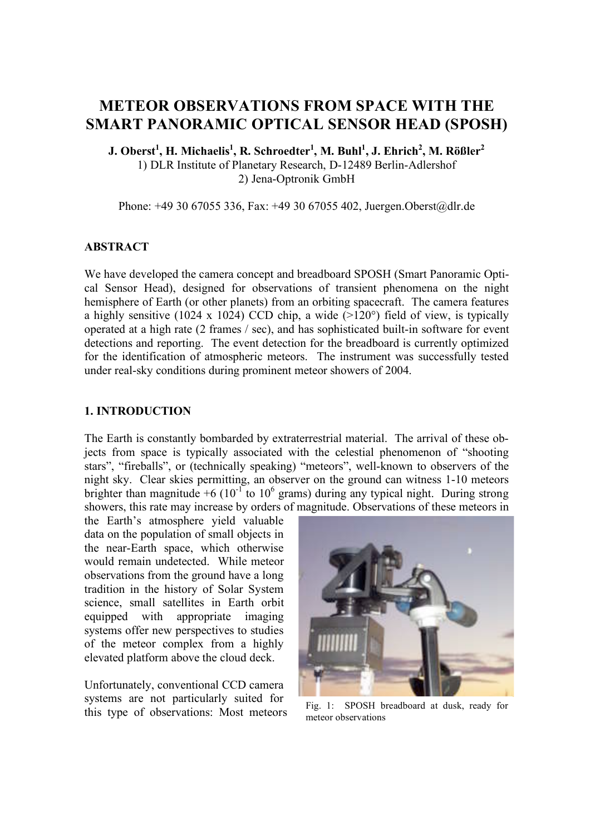# **METEOR OBSERVATIONS FROM SPACE WITH THE SMART PANORAMIC OPTICAL SENSOR HEAD (SPOSH)**

J. Oberst $^{1}$ , H. Michaelis $^{1}$ , R. Schroedter $^{1}$ , M. Buhl $^{1}$ , J. Ehrich $^{2}$ , M. Rößler $^{2}$ 1) DLR Institute of Planetary Research, D-12489 Berlin-Adlershof 2) Jena-Optronik GmbH

Phone: +49 30 67055 336, Fax: +49 30 67055 402, Juergen.Oberst@dlr.de

#### **ABSTRACT**

We have developed the camera concept and breadboard SPOSH (Smart Panoramic Optical Sensor Head), designed for observations of transient phenomena on the night hemisphere of Earth (or other planets) from an orbiting spacecraft. The camera features a highly sensitive (1024 x 1024) CCD chip, a wide  $(>120^{\circ})$  field of view, is typically operated at a high rate (2 frames / sec), and has sophisticated built-in software for event detections and reporting. The event detection for the breadboard is currently optimized for the identification of atmospheric meteors. The instrument was successfully tested under real-sky conditions during prominent meteor showers of 2004.

#### **1. INTRODUCTION**

The Earth is constantly bombarded by extraterrestrial material. The arrival of these objects from space is typically associated with the celestial phenomenon of "shooting stars", "fireballs", or (technically speaking) "meteors", well-known to observers of the night sky. Clear skies permitting, an observer on the ground can witness 1-10 meteors brighter than magnitude +6 ( $10^{-1}$  to  $10^6$  grams) during any typical night. During strong showers, this rate may increase by orders of magnitude. Observations of these meteors in

the Earth's atmosphere yield valuable data on the population of small objects in the near-Earth space, which otherwise would remain undetected. While meteor observations from the ground have a long tradition in the history of Solar System science, small satellites in Earth orbit equipped with appropriate imaging systems offer new perspectives to studies of the meteor complex from a highly elevated platform above the cloud deck.

Unfortunately, conventional CCD camera systems are not particularly suited for this type of observations: Most meteors



Fig. 1: SPOSH breadboard at dusk, ready for meteor observations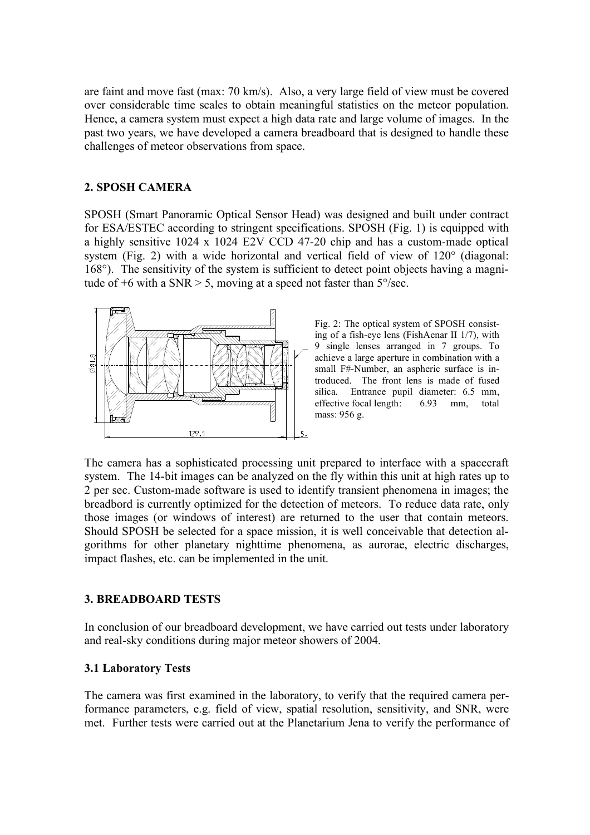are faint and move fast (max: 70 km/s). Also, a very large field of view must be covered over considerable time scales to obtain meaningful statistics on the meteor population. Hence, a camera system must expect a high data rate and large volume of images. In the past two years, we have developed a camera breadboard that is designed to handle these challenges of meteor observations from space.

## **2. SPOSH CAMERA**

SPOSH (Smart Panoramic Optical Sensor Head) was designed and built under contract for ESA/ESTEC according to stringent specifications. SPOSH (Fig. 1) is equipped with a highly sensitive 1024 x 1024 E2V CCD 47-20 chip and has a custom-made optical system (Fig. 2) with a wide horizontal and vertical field of view of 120° (diagonal: 168°). The sensitivity of the system is sufficient to detect point objects having a magnitude of  $+6$  with a SNR  $> 5$ , moving at a speed not faster than  $5^{\circ}/sec$ .



Fig. 2: The optical system of SPOSH consisting of a fish-eye lens (FishAenar II 1/7), with 9 single lenses arranged in 7 groups. To achieve a large aperture in combination with a small F#-Number, an aspheric surface is introduced. The front lens is made of fused silica. Entrance pupil diameter: 6.5 mm, effective focal length: 6.93 mm, total mass: 956 g.

The camera has a sophisticated processing unit prepared to interface with a spacecraft system. The 14-bit images can be analyzed on the fly within this unit at high rates up to 2 per sec. Custom-made software is used to identify transient phenomena in images; the breadbord is currently optimized for the detection of meteors. To reduce data rate, only those images (or windows of interest) are returned to the user that contain meteors. Should SPOSH be selected for a space mission, it is well conceivable that detection algorithms for other planetary nighttime phenomena, as aurorae, electric discharges, impact flashes, etc. can be implemented in the unit.

#### **3. BREADBOARD TESTS**

In conclusion of our breadboard development, we have carried out tests under laboratory and real-sky conditions during major meteor showers of 2004.

#### **3.1 Laboratory Tests**

The camera was first examined in the laboratory, to verify that the required camera performance parameters, e.g. field of view, spatial resolution, sensitivity, and SNR, were met. Further tests were carried out at the Planetarium Jena to verify the performance of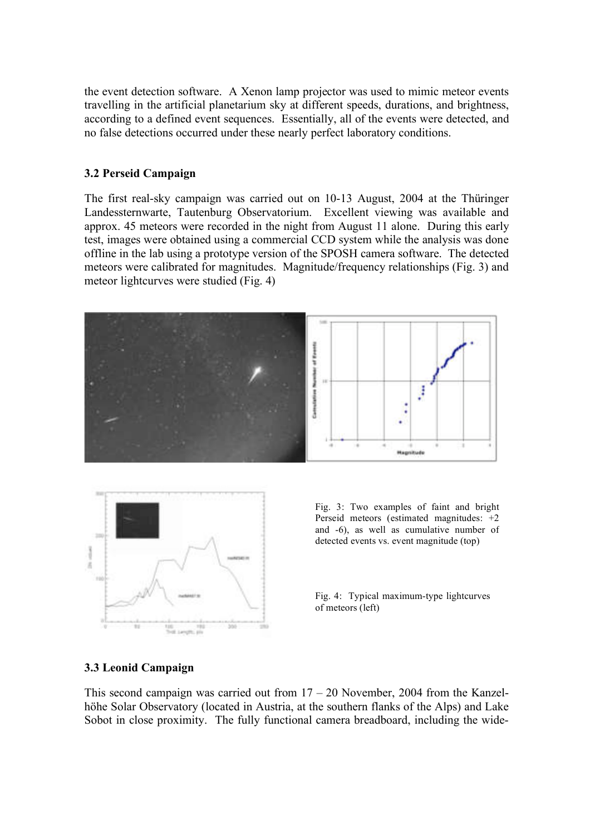the event detection software. A Xenon lamp projector was used to mimic meteor events travelling in the artificial planetarium sky at different speeds, durations, and brightness, according to a defined event sequences. Essentially, all of the events were detected, and no false detections occurred under these nearly perfect laboratory conditions.

#### **3.2 Perseid Campaign**

The first real-sky campaign was carried out on 10-13 August, 2004 at the Thüringer Landessternwarte, Tautenburg Observatorium. Excellent viewing was available and approx. 45 meteors were recorded in the night from August 11 alone. During this early test, images were obtained using a commercial CCD system while the analysis was done offline in the lab using a prototype version of the SPOSH camera software. The detected meteors were calibrated for magnitudes. Magnitude/frequency relationships (Fig. 3) and meteor lightcurves were studied (Fig. 4)





Fig. 3: Two examples of faint and bright Perseid meteors (estimated magnitudes: +2 and -6), as well as cumulative number of detected events vs. event magnitude (top)

Fig. 4: Typical maximum-type lightcurves of meteors (left)

#### **3.3 Leonid Campaign**

This second campaign was carried out from  $17 - 20$  November, 2004 from the Kanzelhöhe Solar Observatory (located in Austria, at the southern flanks of the Alps) and Lake Sobot in close proximity. The fully functional camera breadboard, including the wide-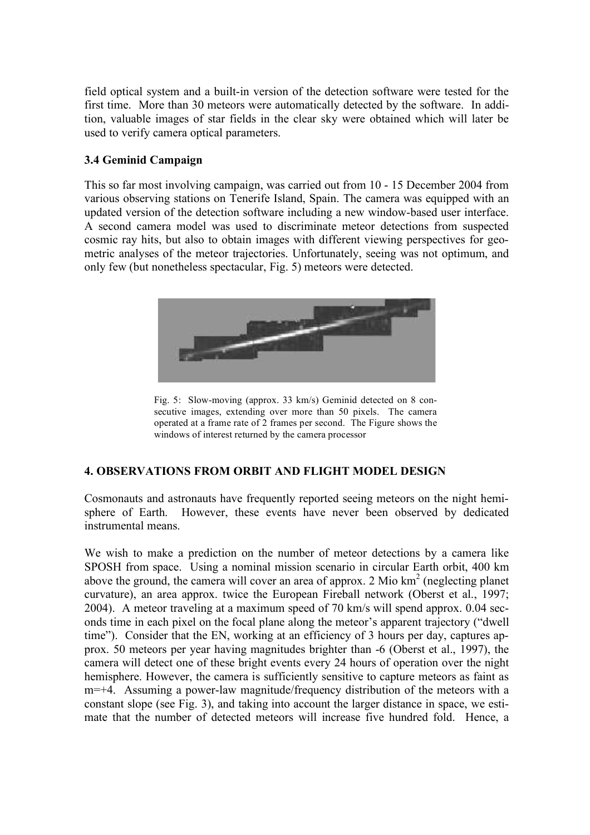field optical system and a built-in version of the detection software were tested for the first time. More than 30 meteors were automatically detected by the software. In addition, valuable images of star fields in the clear sky were obtained which will later be used to verify camera optical parameters.

# **3.4 Geminid Campaign**

This so far most involving campaign, was carried out from 10 - 15 December 2004 from various observing stations on Tenerife Island, Spain. The camera was equipped with an updated version of the detection software including a new window-based user interface. A second camera model was used to discriminate meteor detections from suspected cosmic ray hits, but also to obtain images with different viewing perspectives for geometric analyses of the meteor trajectories. Unfortunately, seeing was not optimum, and only few (but nonetheless spectacular, Fig. 5) meteors were detected.



Fig. 5: Slow-moving (approx. 33 km/s) Geminid detected on 8 consecutive images, extending over more than 50 pixels. The camera operated at a frame rate of 2 frames per second. The Figure shows the windows of interest returned by the camera processor

# **4. OBSERVATIONS FROM ORBIT AND FLIGHT MODEL DESIGN**

Cosmonauts and astronauts have frequently reported seeing meteors on the night hemisphere of Earth. However, these events have never been observed by dedicated instrumental means.

We wish to make a prediction on the number of meteor detections by a camera like SPOSH from space. Using a nominal mission scenario in circular Earth orbit, 400 km above the ground, the camera will cover an area of approx. 2 Mio  $km<sup>2</sup>$  (neglecting planet curvature), an area approx. twice the European Fireball network (Oberst et al., 1997; 2004). A meteor traveling at a maximum speed of 70 km/s will spend approx. 0.04 seconds time in each pixel on the focal plane along the meteor's apparent trajectory ("dwell time"). Consider that the EN, working at an efficiency of 3 hours per day, captures approx. 50 meteors per year having magnitudes brighter than -6 (Oberst et al., 1997), the camera will detect one of these bright events every 24 hours of operation over the night hemisphere. However, the camera is sufficiently sensitive to capture meteors as faint as m=+4. Assuming a power-law magnitude/frequency distribution of the meteors with a constant slope (see Fig. 3), and taking into account the larger distance in space, we estimate that the number of detected meteors will increase five hundred fold. Hence, a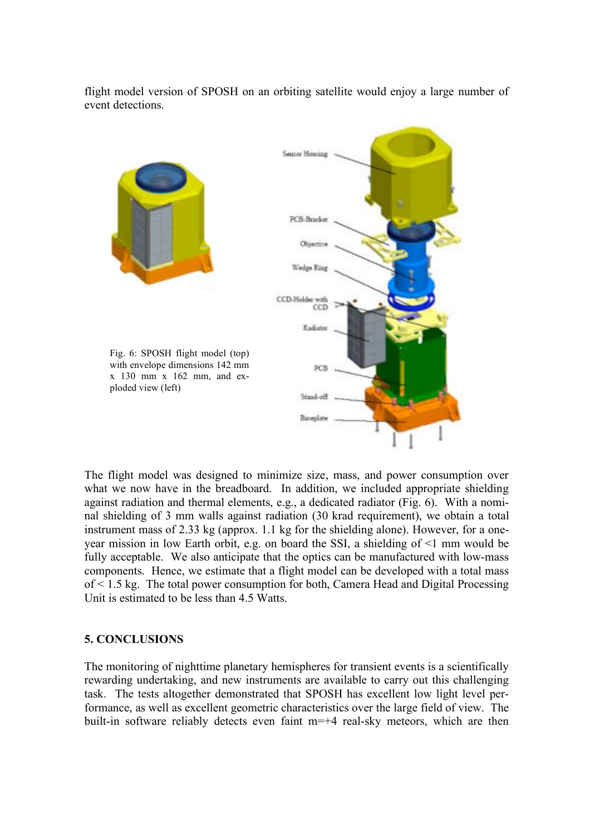flight model version of SPOSH on an orbiting satellite would enjoy a large number of event detections.



The flight model was designed to minimize size, mass, and power consumption over what we now have in the breadboard. In addition, we included appropriate shielding against radiation and thermal elements, e.g., a dedicated radiator (Fig. 6). With a nominal shielding of 3 mm walls against radiation (30 krad requirement), we obtain a total instrument mass of 2.33 kg (approx. 1.1 kg for the shielding alone). However, for a oneyear mission in low Earth orbit, e.g. on board the SSI, a shielding of <1 mm would be fully acceptable. We also anticipate that the optics can be manufactured with low-mass components. Hence, we estimate that a flight model can be developed with a total mass of < 1.5 kg. The total power consumption for both, Camera Head and Digital Processing Unit is estimated to be less than 4.5 Watts.

## **5. CONCLUSIONS**

The monitoring of nighttime planetary hemispheres for transient events is a scientifically rewarding undertaking, and new instruments are available to carry out this challenging task. The tests altogether demonstrated that SPOSH has excellent low light level performance, as well as excellent geometric characteristics over the large field of view. The built-in software reliably detects even faint m=+4 real-sky meteors, which are then